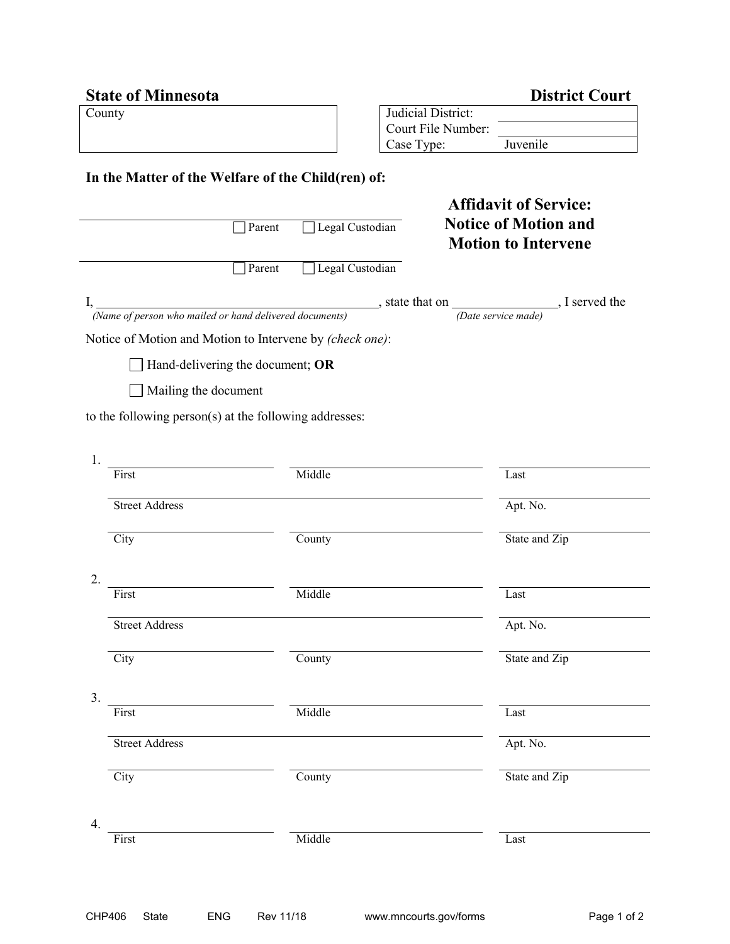| <b>State of Minnesota</b>                                 | <b>District Court</b>                                                                                                                           |  |
|-----------------------------------------------------------|-------------------------------------------------------------------------------------------------------------------------------------------------|--|
| County                                                    | Judicial District:                                                                                                                              |  |
|                                                           | Court File Number:                                                                                                                              |  |
|                                                           | Juvenile<br>Case Type:                                                                                                                          |  |
| In the Matter of the Welfare of the Child(ren) of:        |                                                                                                                                                 |  |
|                                                           | <b>Affidavit of Service:</b>                                                                                                                    |  |
| Parent                                                    | <b>Notice of Motion and</b><br>Legal Custodian<br><b>Motion to Intervene</b>                                                                    |  |
| Parent                                                    | Legal Custodian                                                                                                                                 |  |
|                                                           | I, $\frac{1}{(Name\ of\ person\ who\ mailed\ or\ hand\ delivered\ documents)}$ , state that on $\frac{1}{(Date\ service\ made)}$ . I served the |  |
|                                                           |                                                                                                                                                 |  |
| Notice of Motion and Motion to Intervene by (check one):  |                                                                                                                                                 |  |
| Hand-delivering the document; OR                          |                                                                                                                                                 |  |
| Mailing the document                                      |                                                                                                                                                 |  |
| to the following person $(s)$ at the following addresses: |                                                                                                                                                 |  |
|                                                           |                                                                                                                                                 |  |
| 1.                                                        |                                                                                                                                                 |  |
| Middle<br>First                                           | Last                                                                                                                                            |  |
| <b>Street Address</b>                                     | Apt. No.                                                                                                                                        |  |
| City<br>County                                            | State and Zip                                                                                                                                   |  |
|                                                           |                                                                                                                                                 |  |
| 2.<br>Middle<br>First                                     | Last                                                                                                                                            |  |
|                                                           |                                                                                                                                                 |  |
| <b>Street Address</b>                                     | Apt. No.                                                                                                                                        |  |
| City<br>County                                            | State and Zip                                                                                                                                   |  |
|                                                           |                                                                                                                                                 |  |
| 3.<br>Middle<br>First                                     | Last                                                                                                                                            |  |
|                                                           |                                                                                                                                                 |  |
| <b>Street Address</b>                                     | Apt. No.                                                                                                                                        |  |
| City<br>County                                            | State and Zip                                                                                                                                   |  |
| 4.                                                        |                                                                                                                                                 |  |
| Middle<br>First                                           | Last                                                                                                                                            |  |
|                                                           |                                                                                                                                                 |  |